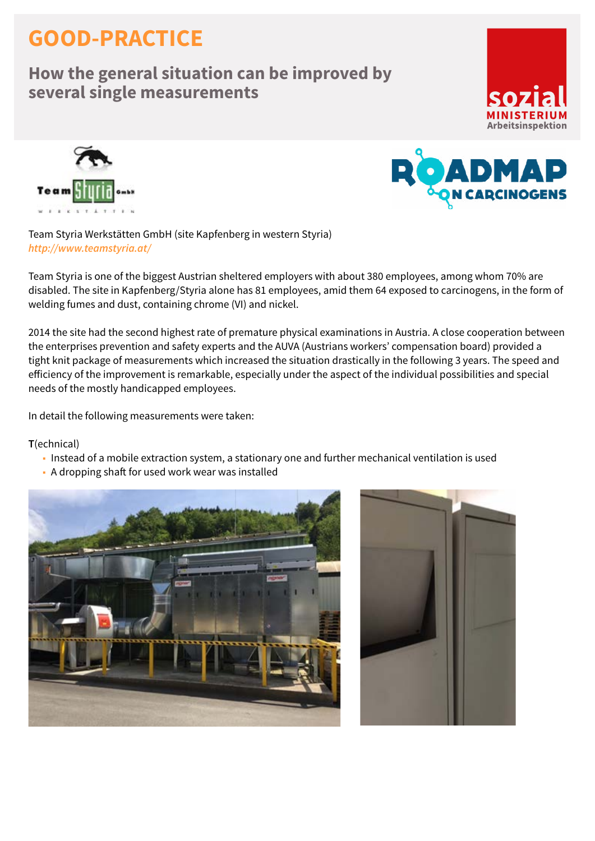## **GOOD-PRACTICE**

## **How the general situation can be improved by several single measurements**







Team Styria Werkstätten GmbH (site Kapfenberg in western Styria) *<http://www.teamstyria.at/>*

Team Styria is one of the biggest Austrian sheltered employers with about 380 employees, among whom 70% are disabled. The site in Kapfenberg/Styria alone has 81 employees, amid them 64 exposed to carcinogens, in the form of welding fumes and dust, containing chrome (VI) and nickel.

2014 the site had the second highest rate of premature physical examinations in Austria. A close cooperation between the enterprises prevention and safety experts and the AUVA (Austrians workers' compensation board) provided a tight knit package of measurements which increased the situation drastically in the following 3 years. The speed and efficiency of the improvement is remarkable, especially under the aspect of the individual possibilities and special needs of the mostly handicapped employees.

In detail the following measurements were taken:

**T**(echnical)

- Instead of a mobile extraction system, a stationary one and further mechanical ventilation is used
- A dropping shaft for used work wear was installed